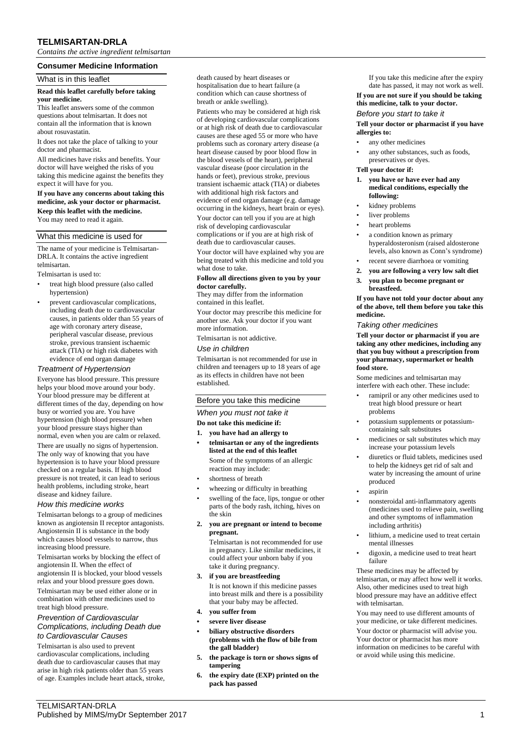# **TELMISARTAN-DRLA**

*Contains the active ingredient telmisartan*

## **Consumer Medicine Information**

## What is in this leaflet

## **Read this leaflet carefully before taking your medicine.**

This leaflet answers some of the common questions about telmisartan. It does not contain all the information that is known about rosuvastatin.

It does not take the place of talking to your doctor and pharmacist.

All medicines have risks and benefits. Your doctor will have weighed the risks of you taking this medicine against the benefits they expect it will have for you.

**If you have any concerns about taking this medicine, ask your doctor or pharmacist. Keep this leaflet with the medicine.**

You may need to read it again.

## What this medicine is used for

The name of your medicine is Telmisartan-DRLA. It contains the active ingredient telmisartan.

Telmisartan is used to:

- treat high blood pressure (also called hypertension)
- prevent cardiovascular complications, including death due to cardiovascular causes, in patients older than 55 years of age with coronary artery disease, peripheral vascular disease, previous stroke, previous transient ischaemic attack (TIA) or high risk diabetes with evidence of end organ damage

## *Treatment of Hypertension*

Everyone has blood pressure. This pressure helps your blood move around your body. Your blood pressure may be different at different times of the day, depending on how busy or worried you are. You have hypertension (high blood pressure) when your blood pressure stays higher than normal, even when you are calm or relaxed. There are usually no signs of hypertension. The only way of knowing that you have hypertension is to have your blood pressure checked on a regular basis. If high blood pressure is not treated, it can lead to serious health problems, including stroke, heart disease and kidney failure.

### *How this medicine works*

Telmisartan belongs to a group of medicines known as angiotensin II receptor antagonists. Angiostensin II is substance in the body which causes blood vessels to narrow, thus increasing blood pressure.

Telmisartan works by blocking the effect of angiotensin II. When the effect of angiotensin II is blocked, your blood vessels relax and your blood pressure goes down. Telmisartan may be used either alone or in combination with other medicines used to treat high blood pressure.

### *Prevention of Cardiovascular Complications, including Death due to Cardiovascular Causes*

Telmisartan is also used to prevent cardiovascular complications, including death due to cardiovascular causes that may arise in high risk patients older than 55 years of age. Examples include heart attack, stroke, death caused by heart diseases or hospitalisation due to heart failure (a condition which can cause shortness of breath or ankle swelling).

Patients who may be considered at high risk of developing cardiovascular complications or at high risk of death due to cardiovascular causes are these aged 55 or more who have problems such as coronary artery disease (a heart disease caused by poor blood flow in the blood vessels of the heart), peripheral vascular disease (poor circulation in the hands or feet), previous stroke, previous transient ischaemic attack (TIA) or diabetes with additional high risk factors and evidence of end organ damage (e.g. damage occurring in the kidneys, heart brain or eyes).

Your doctor can tell you if you are at high risk of developing cardiovascular complications or if you are at high risk of death due to cardiovascular causes.

Your doctor will have explained why you are being treated with this medicine and told you what dose to take.

#### **Follow all directions given to you by your doctor carefully.**

They may differ from the information contained in this leaflet.

Your doctor may prescribe this medicine for another use. Ask your doctor if you want more information.

Telmisartan is not addictive.

### *Use in children*

Telmisartan is not recommended for use in children and teenagers up to 18 years of age as its effects in children have not been established.

## Before you take this medicine

## *When you must not take it*

# **Do not take this medicine if:**

- **1. you have had an allergy to**
- **• telmisartan or any of the ingredients listed at the end of this leaflet** Some of the symptoms of an allergic reaction may include:
- shortness of breath
- wheezing or difficulty in breathing
- swelling of the face, lips, tongue or other parts of the body rash, itching, hives on the skin
- **2. you are pregnant or intend to become pregnant.**

Telmisartan is not recommended for use in pregnancy. Like similar medicines, it could affect your unborn baby if you take it during pregnancy.

**3. if you are breastfeeding**

It is not known if this medicine passes into breast milk and there is a possibility that your baby may be affected.

- **4. you suffer from**
- **• severe liver disease**
- **• biliary obstructive disorders (problems with the flow of bile from the gall bladder)**
- **5. the package is torn or shows signs of tampering**
- **6. the expiry date (EXP) printed on the pack has passed**

If you take this medicine after the expiry date has passed, it may not work as well. **If you are not sure if you should be taking this medicine, talk to your doctor.**

#### *Before you start to take it*

### **Tell your doctor or pharmacist if you have allergies to:**

- any other medicines
- any other substances, such as foods, preservatives or dyes.
- **Tell your doctor if:**
- **1. you have or have ever had any medical conditions, especially the following:**
- kidney problems
- liver problems
- heart problems
- a condition known as primary hyperaldosteronism (raised aldosterone levels, also known as Conn's syndrome)
- recent severe diarrhoea or vomiting
- **2. you are following a very low salt diet 3. you plan to become pregnant or breastfeed.**

**If you have not told your doctor about any of the above, tell them before you take this medicine.**

#### *Taking other medicines*

**Tell your doctor or pharmacist if you are taking any other medicines, including any that you buy without a prescription from your pharmacy, supermarket or health food store.**

Some medicines and telmisartan may interfere with each other. These include:

- ramipril or any other medicines used to treat high blood pressure or heart problems
- potassium supplements or potassiumcontaining salt substitutes
- medicines or salt substitutes which may increase your potassium levels
- diuretics or fluid tablets, medicines used to help the kidneys get rid of salt and water by increasing the amount of urine produced
- aspirin
- nonsteroidal anti-inflammatory agents (medicines used to relieve pain, swelling and other symptoms of inflammation including arthritis)
- lithium, a medicine used to treat certain mental illnesses
- digoxin, a medicine used to treat heart failure

These medicines may be affected by telmisartan, or may affect how well it works. Also, other medicines used to treat high blood pressure may have an additive effect with telmisartan.

You may need to use different amounts of your medicine, or take different medicines. Your doctor or pharmacist will advise you. Your doctor or pharmacist has more information on medicines to be careful with or avoid while using this medicine.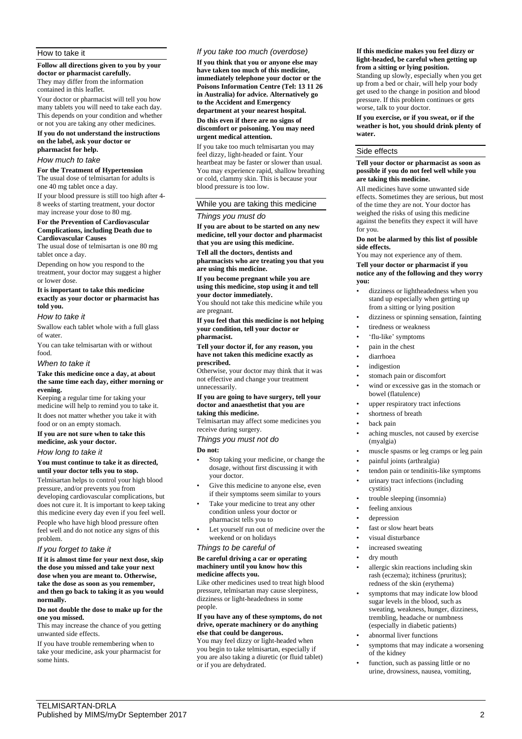## How to take it

**Follow all directions given to you by your doctor or pharmacist carefully.** They may differ from the information

contained in this leaflet.

Your doctor or pharmacist will tell you how many tablets you will need to take each day. This depends on your condition and whether or not you are taking any other medicines.

#### **If you do not understand the instructions on the label, ask your doctor or pharmacist for help.**

#### *How much to take*

#### **For the Treatment of Hypertension**

The usual dose of telmisartan for adults is one 40 mg tablet once a day.

If your blood pressure is still too high after 4- 8 weeks of starting treatment, your doctor may increase your dose to 80 mg.

#### **For the Prevention of Cardiovascular Complications, including Death due to Cardiovascular Causes**

The usual dose of telmisartan is one 80 mg tablet once a day.

Depending on how you respond to the treatment, your doctor may suggest a higher or lower dose.

#### **It is important to take this medicine exactly as your doctor or pharmacist has told you.**

#### *How to take it*

Swallow each tablet whole with a full glass of water.

You can take telmisartan with or without food.

## *When to take it*

## **Take this medicine once a day, at about the same time each day, either morning or evening.**

Keeping a regular time for taking your medicine will help to remind you to take it. It does not matter whether you take it with food or on an empty stomach.

## **If you are not sure when to take this medicine, ask your doctor.**

*How long to take it*

## **You must continue to take it as directed, until your doctor tells you to stop.**

Telmisartan helps to control your high blood pressure, and/or prevents you from developing cardiovascular complications, but does not cure it. It is important to keep taking this medicine every day even if you feel well. People who have high blood pressure often feel well and do not notice any signs of this problem.

### *If you forget to take it*

**If it is almost time for your next dose, skip the dose you missed and take your next dose when you are meant to. Otherwise, take the dose as soon as you remember, and then go back to taking it as you would normally.**

#### **Do not double the dose to make up for the one you missed.**

This may increase the chance of you getting unwanted side effects.

If you have trouble remembering when to take your medicine, ask your pharmacist for some hints.

## *If you take too much (overdose)*

**If you think that you or anyone else may have taken too much of this medicine, immediately telephone your doctor or the Poisons Information Centre (Tel: 13 11 26 in Australia) for advice. Alternatively go to the Accident and Emergency department at your nearest hospital.**

**Do this even if there are no signs of** 

## **discomfort or poisoning. You may need urgent medical attention.**

If you take too much telmisartan you may feel dizzy, light-headed or faint. Your heartbeat may be faster or slower than usual. You may experience rapid, shallow breathing or cold, clammy skin. This is because your blood pressure is too low.

#### While you are taking this medicine

### *Things you must do*

**If you are about to be started on any new medicine, tell your doctor and pharmacist that you are using this medicine.**

**Tell all the doctors, dentists and pharmacists who are treating you that you are using this medicine.**

**If you become pregnant while you are using this medicine, stop using it and tell your doctor immediately.**

You should not take this medicine while you are pregnant.

#### **If you feel that this medicine is not helping your condition, tell your doctor or pharmacist.**

**Tell your doctor if, for any reason, you have not taken this medicine exactly as prescribed.**

Otherwise, your doctor may think that it was not effective and change your treatment unnecessarily.

#### **If you are going to have surgery, tell your doctor and anaesthetist that you are taking this medicine.**

Telmisartan may affect some medicines you receive during surgery.

*Things you must not do*

**Do not:**

- Stop taking your medicine, or change the dosage, without first discussing it with your doctor.
- Give this medicine to anyone else, even if their symptoms seem similar to yours
- Take your medicine to treat any other condition unless your doctor or pharmacist tells you to
- Let yourself run out of medicine over the weekend or on holidays

## *Things to be careful of*

#### **Be careful driving a car or operating machinery until you know how this medicine affects you.**

Like other medicines used to treat high blood pressure, telmisartan may cause sleepiness, dizziness or light-headedness in some people.

#### **If you have any of these symptoms, do not drive, operate machinery or do anything else that could be dangerous.**

You may feel dizzy or light-headed when you begin to take telmisartan, especially if you are also taking a diuretic (or fluid tablet) or if you are dehydrated.

#### **If this medicine makes you feel dizzy or light-headed, be careful when getting up from a sitting or lying position.**

Standing up slowly, especially when you get up from a bed or chair, will help your body get used to the change in position and blood pressure. If this problem continues or gets worse, talk to your doctor.

**If you exercise, or if you sweat, or if the weather is hot, you should drink plenty of water.**

# Side effects

### **Tell your doctor or pharmacist as soon as possible if you do not feel well while you are taking this medicine.**

All medicines have some unwanted side effects. Sometimes they are serious, but most of the time they are not. Your doctor has weighed the risks of using this medicine against the benefits they expect it will have for you.

### **Do not be alarmed by this list of possible side effects.**

You may not experience any of them.

**Tell your doctor or pharmacist if you notice any of the following and they worry you:**

- dizziness or lightheadedness when you stand up especially when getting up from a sitting or lying position
- dizziness or spinning sensation, fainting
- tiredness or weakness
- 'flu-like' symptoms
- pain in the chest
- diarrhoea
- indigestion
- stomach pain or discomfort
- wind or excessive gas in the stomach or bowel (flatulence)
- upper respiratory tract infections
- shortness of breath
- back pain
- aching muscles, not caused by exercise (myalgia)
- muscle spasms or leg cramps or leg pain
- painful joints (arthralgia)
- tendon pain or tendinitis-like symptoms
- urinary tract infections (including cystitis)
- trouble sleeping (insomnia)
- feeling anxious
- depression
- fast or slow heart beats
- visual disturbance
- increased sweating
- dry mouth
- allergic skin reactions including skin rash (eczema); itchiness (pruritus); redness of the skin (erythema)
- symptoms that may indicate low blood sugar levels in the blood, such as sweating, weakness, hunger, dizziness, trembling, headache or numbness (especially in diabetic patients)
- abnormal liver functions
- symptoms that may indicate a worsening of the kidney
- function, such as passing little or no urine, drowsiness, nausea, vomiting,